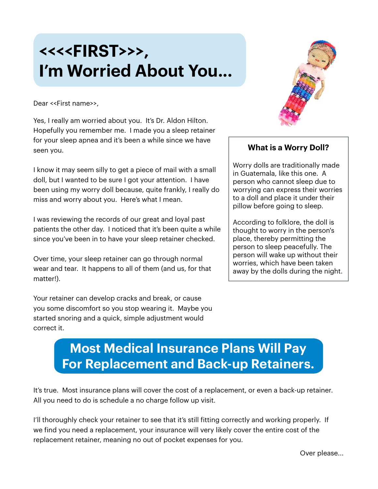## **<<<<FIRST>>>, I'm Worried About You...**



Dear <<First name>>,

Yes, I really am worried about you. It's Dr. Aldon Hilton. Hopefully you remember me. I made you a sleep retainer for your sleep apnea and it's been a while since we have seen you.

I know it may seem silly to get a piece of mail with a small doll, but I wanted to be sure I got your attention. I have been using my worry doll because, quite frankly, I really do miss and worry about you. Here's what I mean.

I was reviewing the records of our great and loyal past patients the other day. I noticed that it's been quite a while since you've been in to have your sleep retainer checked.

Over time, your sleep retainer can go through normal wear and tear. It happens to all of them (and us, for that matter!).

Your retainer can develop cracks and break, or cause you some discomfort so you stop wearing it. Maybe you started snoring and a quick, simple adjustment would correct it.

## **What is a Worry Doll?**

Worry dolls are traditionally made in Guatemala, like this one. A person who cannot sleep due to worrying can express their worries to a doll and place it under their pillow before going to sleep.

According to folklore, the doll is thought to worry in the person's place, thereby permitting the person to sleep peacefully. The person will wake up without their worries, which have been taken away by the dolls during the night.

## **Most Medical Insurance Plans Will Pay For Replacement and Back-up Retainers.**

It's true. Most insurance plans will cover the cost of a replacement, or even a back-up retainer. All you need to do is schedule a no charge follow up visit.

I'll thoroughly check your retainer to see that it's still fitting correctly and working properly. If we find you need a replacement, your insurance will very likely cover the entire cost of the replacement retainer, meaning no out of pocket expenses for you.

Over please...